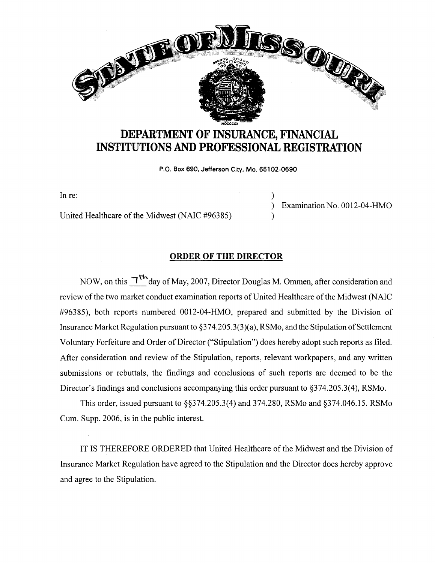

## **DEPARTMENT OF INSURANCE, FINANCIAL INSTITUTIONS AND PROFESSIONAL REGISTRATION**

**P.O. Box 690, Jefferson City, Mo. 65102-0690** 

)

)

In re:

United Healthcare of the Midwest (NAIC #96385)

) Examination No. 0012-04-HMO

## **ORDER OF THE DIRECTOR**

NOW, on this  $T<sup>th</sup>$ day of May, 2007, Director Douglas M. Ommen, after consideration and review of the two market conduct examination reports of United Healthcare of the Midwest (NAIC #96385), both reports numbered 0012-04-HMO, prepared and submitted by the Division of Insurance Market Regulation pursuant to  $\S 374.205.3(3)(a)$ , RSMo, and the Stipulation of Settlement Voluntary Forfeiture and Order of Director ("Stipulation") does hereby adopt such reports as filed. After consideration and review of the Stipulation, reports, relevant workpapers, and any written submissions or rebuttals, the findings and conclusions of such reports are deemed to be the Director's findings and conclusions accompanying this order pursuant to §374.205.3(4), RSMo.

This order, issued pursuant to §§374.205.3(4) and 374.280, RSMo and §374.046.15. RSMo Cum. Supp. 2006, is in the public interest.

IT IS THEREFORE ORDERED that United Healthcare of the Midwest and the Division of Insurance Market Regulation have agreed to the Stipulation and the Director does hereby approve and agree to the Stipulation.